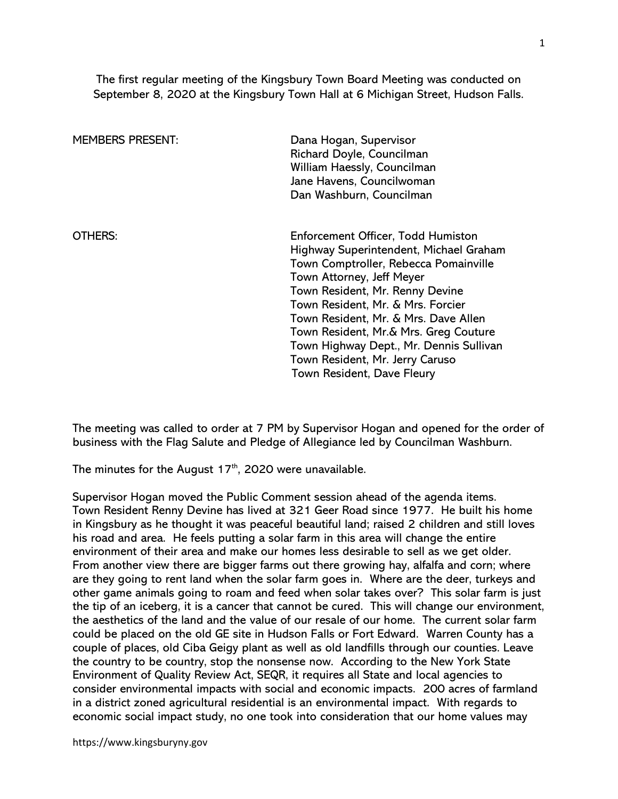The first regular meeting of the Kingsbury Town Board Meeting was conducted on September 8, 2020 at the Kingsbury Town Hall at 6 Michigan Street, Hudson Falls.

| <b>MEMBERS PRESENT:</b> | Dana Hogan, Supervisor<br>Richard Doyle, Councilman<br>William Haessly, Councilman<br>Jane Havens, Councilwoman<br>Dan Washburn, Councilman                                                                                                                                                                                                                                                                             |
|-------------------------|-------------------------------------------------------------------------------------------------------------------------------------------------------------------------------------------------------------------------------------------------------------------------------------------------------------------------------------------------------------------------------------------------------------------------|
| OTHERS:                 | Enforcement Officer, Todd Humiston<br>Highway Superintendent, Michael Graham<br>Town Comptroller, Rebecca Pomainville<br>Town Attorney, Jeff Meyer<br>Town Resident, Mr. Renny Devine<br>Town Resident, Mr. & Mrs. Forcier<br>Town Resident, Mr. & Mrs. Dave Allen<br>Town Resident, Mr.& Mrs. Greg Couture<br>Town Highway Dept., Mr. Dennis Sullivan<br>Town Resident, Mr. Jerry Caruso<br>Town Resident, Dave Fleury |

The meeting was called to order at 7 PM by Supervisor Hogan and opened for the order of business with the Flag Salute and Pledge of Allegiance led by Councilman Washburn.

The minutes for the August  $17<sup>th</sup>$ , 2020 were unavailable.

Supervisor Hogan moved the Public Comment session ahead of the agenda items. Town Resident Renny Devine has lived at 321 Geer Road since 1977. He built his home in Kingsbury as he thought it was peaceful beautiful land; raised 2 children and still loves his road and area. He feels putting a solar farm in this area will change the entire environment of their area and make our homes less desirable to sell as we get older. From another view there are bigger farms out there growing hay, alfalfa and corn; where are they going to rent land when the solar farm goes in. Where are the deer, turkeys and other game animals going to roam and feed when solar takes over? This solar farm is just the tip of an iceberg, it is a cancer that cannot be cured. This will change our environment, the aesthetics of the land and the value of our resale of our home. The current solar farm could be placed on the old GE site in Hudson Falls or Fort Edward. Warren County has a couple of places, old Ciba Geigy plant as well as old landfills through our counties. Leave the country to be country, stop the nonsense now. According to the New York State Environment of Quality Review Act, SEQR, it requires all State and local agencies to consider environmental impacts with social and economic impacts. 200 acres of farmland in a district zoned agricultural residential is an environmental impact. With regards to economic social impact study, no one took into consideration that our home values may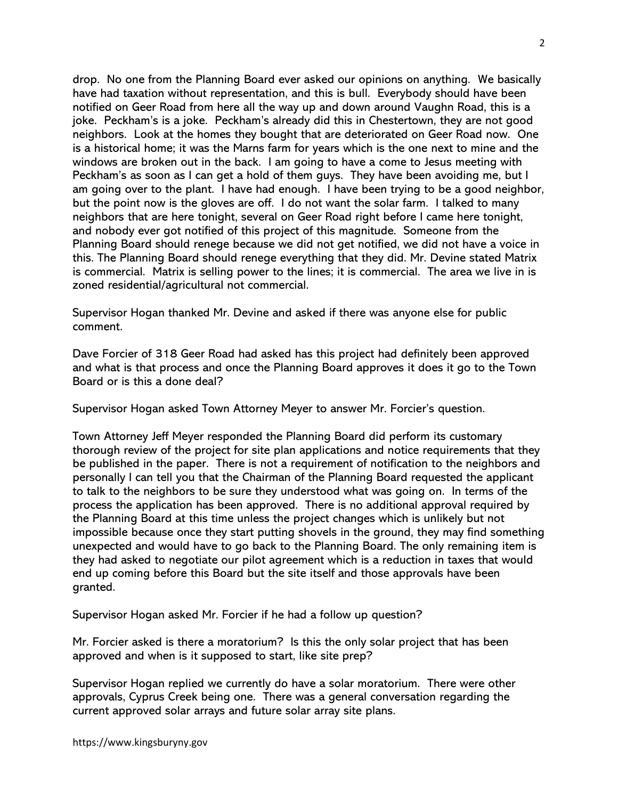drop. No one from the Planning Board ever asked our opinions on anything. We basically have had taxation without representation, and this is bull. Everybody should have been notified on Geer Road from here all the way up and down around Vaughn Road, this is a joke. Peckham's is a joke. Peckham's already did this in Chestertown, they are not good neighbors. Look at the homes they bought that are deteriorated on Geer Road now. One is a historical home; it was the Marns farm for years which is the one next to mine and the windows are broken out in the back. I am going to have a come to Jesus meeting with Peckham's as soon as I can get a hold of them guys. They have been avoiding me, but I am going over to the plant. I have had enough. I have been trying to be a good neighbor, but the point now is the gloves are off. I do not want the solar farm. I talked to many neighbors that are here tonight, several on Geer Road right before I came here tonight, and nobody ever got notified of this project of this magnitude. Someone from the Planning Board should renege because we did not get notified, we did not have a voice in this. The Planning Board should renege everything that they did. Mr. Devine stated Matrix is commercial. Matrix is selling power to the lines; it is commercial. The area we live in is zoned residential/agricultural not commercial.

Supervisor Hogan thanked Mr. Devine and asked if there was anyone else for public comment.

Dave Forcier of 318 Geer Road had asked has this project had definitely been approved and what is that process and once the Planning Board approves it does it go to the Town Board or is this a done deal?

Supervisor Hogan asked Town Attorney Meyer to answer Mr. Forcier's question.

Town Attorney Jeff Meyer responded the Planning Board did perform its customary thorough review of the project for site plan applications and notice requirements that they be published in the paper. There is not a requirement of notification to the neighbors and personally I can tell you that the Chairman of the Planning Board requested the applicant to talk to the neighbors to be sure they understood what was going on. In terms of the process the application has been approved. There is no additional approval required by the Planning Board at this time unless the project changes which is unlikely but not impossible because once they start putting shovels in the ground, they may find something unexpected and would have to go back to the Planning Board. The only remaining item is they had asked to negotiate our pilot agreement which is a reduction in taxes that would end up coming before this Board but the site itself and those approvals have been granted.

Supervisor Hogan asked Mr. Forcier if he had a follow up question?

Mr. Forcier asked is there a moratorium? Is this the only solar project that has been approved and when is it supposed to start, like site prep?

Supervisor Hogan replied we currently do have a solar moratorium. There were other approvals, Cyprus Creek being one. There was a general conversation regarding the current approved solar arrays and future solar array site plans.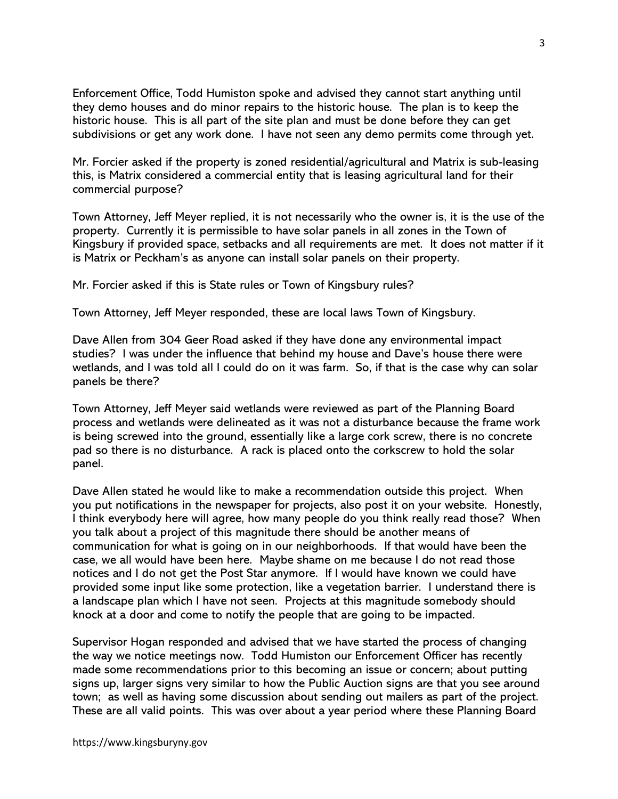Enforcement Office, Todd Humiston spoke and advised they cannot start anything until they demo houses and do minor repairs to the historic house. The plan is to keep the historic house. This is all part of the site plan and must be done before they can get subdivisions or get any work done. I have not seen any demo permits come through yet.

Mr. Forcier asked if the property is zoned residential/agricultural and Matrix is sub-leasing this, is Matrix considered a commercial entity that is leasing agricultural land for their commercial purpose?

Town Attorney, Jeff Meyer replied, it is not necessarily who the owner is, it is the use of the property. Currently it is permissible to have solar panels in all zones in the Town of Kingsbury if provided space, setbacks and all requirements are met. It does not matter if it is Matrix or Peckham's as anyone can install solar panels on their property.

Mr. Forcier asked if this is State rules or Town of Kingsbury rules?

Town Attorney, Jeff Meyer responded, these are local laws Town of Kingsbury.

Dave Allen from 304 Geer Road asked if they have done any environmental impact studies? I was under the influence that behind my house and Dave's house there were wetlands, and I was told all I could do on it was farm. So, if that is the case why can solar panels be there?

Town Attorney, Jeff Meyer said wetlands were reviewed as part of the Planning Board process and wetlands were delineated as it was not a disturbance because the frame work is being screwed into the ground, essentially like a large cork screw, there is no concrete pad so there is no disturbance. A rack is placed onto the corkscrew to hold the solar panel.

Dave Allen stated he would like to make a recommendation outside this project. When you put notifications in the newspaper for projects, also post it on your website. Honestly, I think everybody here will agree, how many people do you think really read those? When you talk about a project of this magnitude there should be another means of communication for what is going on in our neighborhoods. If that would have been the case, we all would have been here. Maybe shame on me because I do not read those notices and I do not get the Post Star anymore. If I would have known we could have provided some input like some protection, like a vegetation barrier. I understand there is a landscape plan which I have not seen. Projects at this magnitude somebody should knock at a door and come to notify the people that are going to be impacted.

Supervisor Hogan responded and advised that we have started the process of changing the way we notice meetings now. Todd Humiston our Enforcement Officer has recently made some recommendations prior to this becoming an issue or concern; about putting signs up, larger signs very similar to how the Public Auction signs are that you see around town; as well as having some discussion about sending out mailers as part of the project. These are all valid points. This was over about a year period where these Planning Board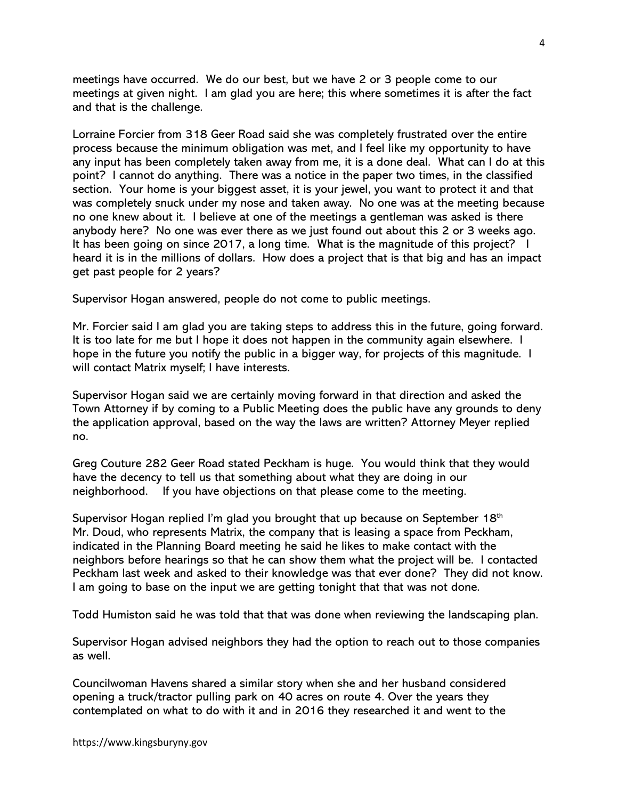meetings have occurred. We do our best, but we have 2 or 3 people come to our meetings at given night. I am glad you are here; this where sometimes it is after the fact and that is the challenge.

Lorraine Forcier from 318 Geer Road said she was completely frustrated over the entire process because the minimum obligation was met, and I feel like my opportunity to have any input has been completely taken away from me, it is a done deal. What can I do at this point? I cannot do anything. There was a notice in the paper two times, in the classified section. Your home is your biggest asset, it is your jewel, you want to protect it and that was completely snuck under my nose and taken away. No one was at the meeting because no one knew about it. I believe at one of the meetings a gentleman was asked is there anybody here? No one was ever there as we just found out about this 2 or 3 weeks ago. It has been going on since 2017, a long time. What is the magnitude of this project? I heard it is in the millions of dollars. How does a project that is that big and has an impact get past people for 2 years?

Supervisor Hogan answered, people do not come to public meetings.

Mr. Forcier said I am glad you are taking steps to address this in the future, going forward. It is too late for me but I hope it does not happen in the community again elsewhere. I hope in the future you notify the public in a bigger way, for projects of this magnitude. I will contact Matrix myself; I have interests.

Supervisor Hogan said we are certainly moving forward in that direction and asked the Town Attorney if by coming to a Public Meeting does the public have any grounds to deny the application approval, based on the way the laws are written? Attorney Meyer replied no.

Greg Couture 282 Geer Road stated Peckham is huge. You would think that they would have the decency to tell us that something about what they are doing in our neighborhood. If you have objections on that please come to the meeting.

Supervisor Hogan replied I'm glad you brought that up because on September 18th Mr. Doud, who represents Matrix, the company that is leasing a space from Peckham, indicated in the Planning Board meeting he said he likes to make contact with the neighbors before hearings so that he can show them what the project will be. I contacted Peckham last week and asked to their knowledge was that ever done? They did not know. I am going to base on the input we are getting tonight that that was not done.

Todd Humiston said he was told that that was done when reviewing the landscaping plan.

Supervisor Hogan advised neighbors they had the option to reach out to those companies as well.

Councilwoman Havens shared a similar story when she and her husband considered opening a truck/tractor pulling park on 40 acres on route 4. Over the years they contemplated on what to do with it and in 2016 they researched it and went to the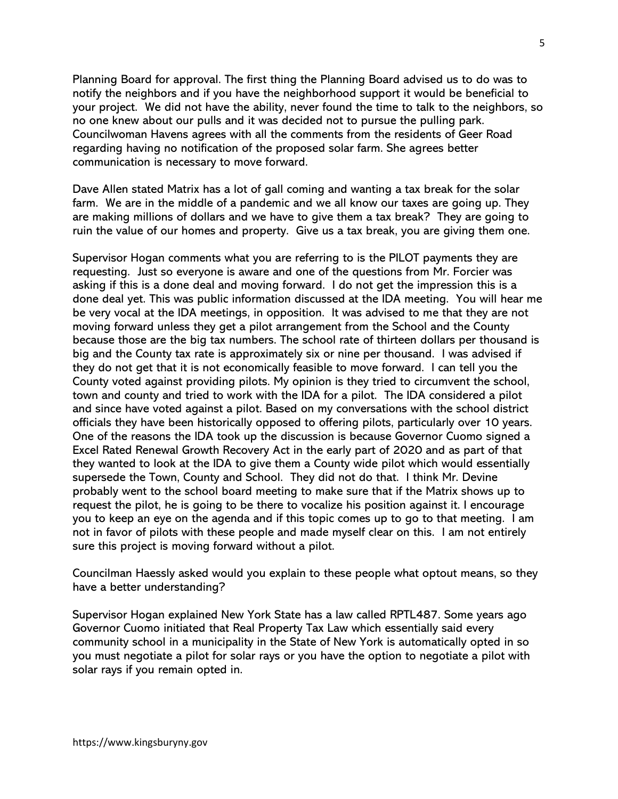Planning Board for approval. The first thing the Planning Board advised us to do was to notify the neighbors and if you have the neighborhood support it would be beneficial to your project. We did not have the ability, never found the time to talk to the neighbors, so no one knew about our pulls and it was decided not to pursue the pulling park. Councilwoman Havens agrees with all the comments from the residents of Geer Road regarding having no notification of the proposed solar farm. She agrees better communication is necessary to move forward.

Dave Allen stated Matrix has a lot of gall coming and wanting a tax break for the solar farm. We are in the middle of a pandemic and we all know our taxes are going up. They are making millions of dollars and we have to give them a tax break? They are going to ruin the value of our homes and property. Give us a tax break, you are giving them one.

Supervisor Hogan comments what you are referring to is the PILOT payments they are requesting. Just so everyone is aware and one of the questions from Mr. Forcier was asking if this is a done deal and moving forward. I do not get the impression this is a done deal yet. This was public information discussed at the IDA meeting. You will hear me be very vocal at the IDA meetings, in opposition. It was advised to me that they are not moving forward unless they get a pilot arrangement from the School and the County because those are the big tax numbers. The school rate of thirteen dollars per thousand is big and the County tax rate is approximately six or nine per thousand. I was advised if they do not get that it is not economically feasible to move forward. I can tell you the County voted against providing pilots. My opinion is they tried to circumvent the school, town and county and tried to work with the IDA for a pilot. The IDA considered a pilot and since have voted against a pilot. Based on my conversations with the school district officials they have been historically opposed to offering pilots, particularly over 10 years. One of the reasons the IDA took up the discussion is because Governor Cuomo signed a Excel Rated Renewal Growth Recovery Act in the early part of 2020 and as part of that they wanted to look at the IDA to give them a County wide pilot which would essentially supersede the Town, County and School. They did not do that. I think Mr. Devine probably went to the school board meeting to make sure that if the Matrix shows up to request the pilot, he is going to be there to vocalize his position against it. I encourage you to keep an eye on the agenda and if this topic comes up to go to that meeting. I am not in favor of pilots with these people and made myself clear on this. I am not entirely sure this project is moving forward without a pilot.

Councilman Haessly asked would you explain to these people what optout means, so they have a better understanding?

Supervisor Hogan explained New York State has a law called RPTL487. Some years ago Governor Cuomo initiated that Real Property Tax Law which essentially said every community school in a municipality in the State of New York is automatically opted in so you must negotiate a pilot for solar rays or you have the option to negotiate a pilot with solar rays if you remain opted in.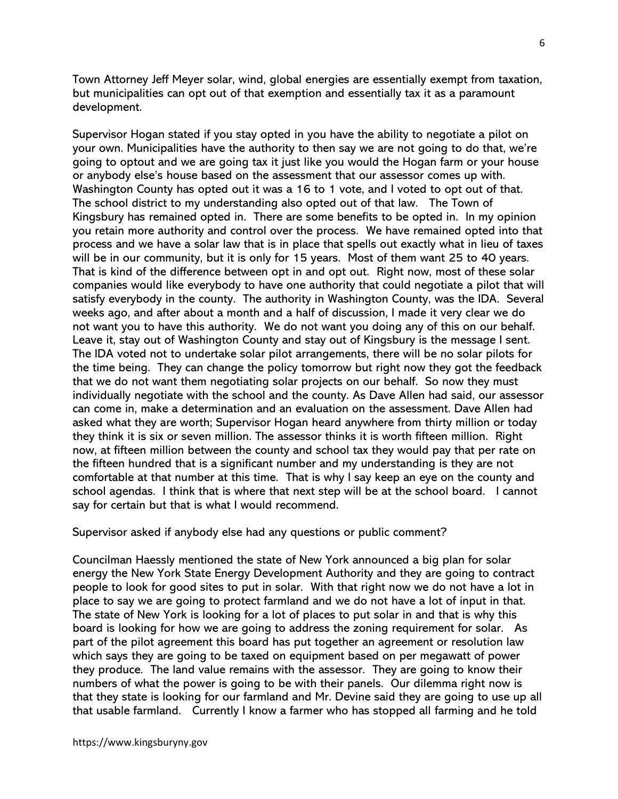Town Attorney Jeff Meyer solar, wind, global energies are essentially exempt from taxation, but municipalities can opt out of that exemption and essentially tax it as a paramount development.

Supervisor Hogan stated if you stay opted in you have the ability to negotiate a pilot on your own. Municipalities have the authority to then say we are not going to do that, we're going to optout and we are going tax it just like you would the Hogan farm or your house or anybody else's house based on the assessment that our assessor comes up with. Washington County has opted out it was a 16 to 1 vote, and I voted to opt out of that. The school district to my understanding also opted out of that law. The Town of Kingsbury has remained opted in. There are some benefits to be opted in. In my opinion you retain more authority and control over the process. We have remained opted into that process and we have a solar law that is in place that spells out exactly what in lieu of taxes will be in our community, but it is only for 15 years. Most of them want 25 to 40 years. That is kind of the difference between opt in and opt out. Right now, most of these solar companies would like everybody to have one authority that could negotiate a pilot that will satisfy everybody in the county. The authority in Washington County, was the IDA. Several weeks ago, and after about a month and a half of discussion, I made it very clear we do not want you to have this authority. We do not want you doing any of this on our behalf. Leave it, stay out of Washington County and stay out of Kingsbury is the message I sent. The IDA voted not to undertake solar pilot arrangements, there will be no solar pilots for the time being. They can change the policy tomorrow but right now they got the feedback that we do not want them negotiating solar projects on our behalf. So now they must individually negotiate with the school and the county. As Dave Allen had said, our assessor can come in, make a determination and an evaluation on the assessment. Dave Allen had asked what they are worth; Supervisor Hogan heard anywhere from thirty million or today they think it is six or seven million. The assessor thinks it is worth fifteen million. Right now, at fifteen million between the county and school tax they would pay that per rate on the fifteen hundred that is a significant number and my understanding is they are not comfortable at that number at this time. That is why I say keep an eye on the county and school agendas. I think that is where that next step will be at the school board. I cannot say for certain but that is what I would recommend.

Supervisor asked if anybody else had any questions or public comment?

Councilman Haessly mentioned the state of New York announced a big plan for solar energy the New York State Energy Development Authority and they are going to contract people to look for good sites to put in solar. With that right now we do not have a lot in place to say we are going to protect farmland and we do not have a lot of input in that. The state of New York is looking for a lot of places to put solar in and that is why this board is looking for how we are going to address the zoning requirement for solar. As part of the pilot agreement this board has put together an agreement or resolution law which says they are going to be taxed on equipment based on per megawatt of power they produce. The land value remains with the assessor. They are going to know their numbers of what the power is going to be with their panels. Our dilemma right now is that they state is looking for our farmland and Mr. Devine said they are going to use up all that usable farmland. Currently I know a farmer who has stopped all farming and he told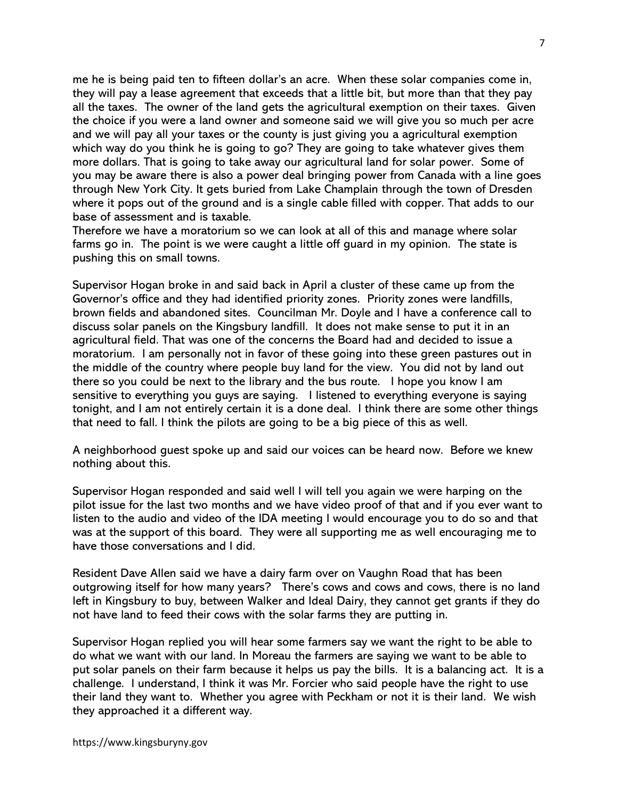me he is being paid ten to fifteen dollar's an acre. When these solar companies come in, they will pay a lease agreement that exceeds that a little bit, but more than that they pay all the taxes. The owner of the land gets the agricultural exemption on their taxes. Given the choice if you were a land owner and someone said we will give you so much per acre and we will pay all your taxes or the county is just giving you a agricultural exemption which way do you think he is going to go? They are going to take whatever gives them more dollars. That is going to take away our agricultural land for solar power. Some of you may be aware there is also a power deal bringing power from Canada with a line goes through New York City. It gets buried from Lake Champlain through the town of Dresden where it pops out of the ground and is a single cable filled with copper. That adds to our base of assessment and is taxable.

Therefore we have a moratorium so we can look at all of this and manage where solar farms go in. The point is we were caught a little off guard in my opinion. The state is pushing this on small towns.

Supervisor Hogan broke in and said back in April a cluster of these came up from the Governor's office and they had identified priority zones. Priority zones were landfills, brown fields and abandoned sites. Councilman Mr. Doyle and I have a conference call to discuss solar panels on the Kingsbury landfill. It does not make sense to put it in an agricultural field. That was one of the concerns the Board had and decided to issue a moratorium. I am personally not in favor of these going into these green pastures out in the middle of the country where people buy land for the view. You did not by land out there so you could be next to the library and the bus route. I hope you know I am sensitive to everything you guys are saying. I listened to everything everyone is saying tonight, and I am not entirely certain it is a done deal. I think there are some other things that need to fall. I think the pilots are going to be a big piece of this as well.

A neighborhood guest spoke up and said our voices can be heard now. Before we knew nothing about this.

Supervisor Hogan responded and said well I will tell you again we were harping on the pilot issue for the last two months and we have video proof of that and if you ever want to listen to the audio and video of the IDA meeting I would encourage you to do so and that was at the support of this board. They were all supporting me as well encouraging me to have those conversations and I did.

Resident Dave Allen said we have a dairy farm over on Vaughn Road that has been outgrowing itself for how many years? There's cows and cows and cows, there is no land left in Kingsbury to buy, between Walker and Ideal Dairy, they cannot get grants if they do not have land to feed their cows with the solar farms they are putting in.

Supervisor Hogan replied you will hear some farmers say we want the right to be able to do what we want with our land. In Moreau the farmers are saying we want to be able to put solar panels on their farm because it helps us pay the bills. It is a balancing act. It is a challenge. I understand, I think it was Mr. Forcier who said people have the right to use their land they want to. Whether you agree with Peckham or not it is their land. We wish they approached it a different way.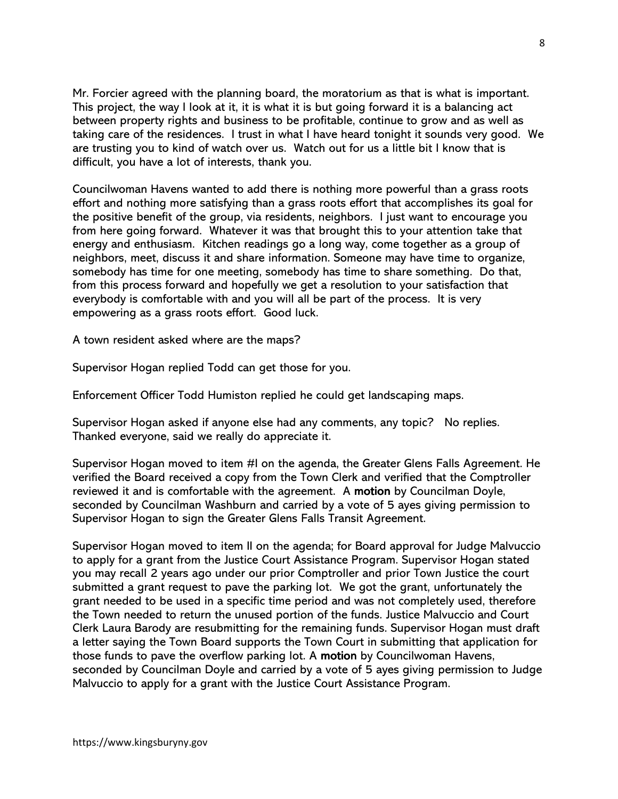Mr. Forcier agreed with the planning board, the moratorium as that is what is important. This project, the way I look at it, it is what it is but going forward it is a balancing act between property rights and business to be profitable, continue to grow and as well as taking care of the residences. I trust in what I have heard tonight it sounds very good. We are trusting you to kind of watch over us. Watch out for us a little bit I know that is difficult, you have a lot of interests, thank you.

Councilwoman Havens wanted to add there is nothing more powerful than a grass roots effort and nothing more satisfying than a grass roots effort that accomplishes its goal for the positive benefit of the group, via residents, neighbors. I just want to encourage you from here going forward. Whatever it was that brought this to your attention take that energy and enthusiasm. Kitchen readings go a long way, come together as a group of neighbors, meet, discuss it and share information. Someone may have time to organize, somebody has time for one meeting, somebody has time to share something. Do that, from this process forward and hopefully we get a resolution to your satisfaction that everybody is comfortable with and you will all be part of the process. It is very empowering as a grass roots effort. Good luck.

A town resident asked where are the maps?

Supervisor Hogan replied Todd can get those for you.

Enforcement Officer Todd Humiston replied he could get landscaping maps.

Supervisor Hogan asked if anyone else had any comments, any topic? No replies. Thanked everyone, said we really do appreciate it.

Supervisor Hogan moved to item #I on the agenda, the Greater Glens Falls Agreement. He verified the Board received a copy from the Town Clerk and verified that the Comptroller reviewed it and is comfortable with the agreement. A motion by Councilman Doyle, seconded by Councilman Washburn and carried by a vote of 5 ayes giving permission to Supervisor Hogan to sign the Greater Glens Falls Transit Agreement.

Supervisor Hogan moved to item II on the agenda; for Board approval for Judge Malvuccio to apply for a grant from the Justice Court Assistance Program. Supervisor Hogan stated you may recall 2 years ago under our prior Comptroller and prior Town Justice the court submitted a grant request to pave the parking lot. We got the grant, unfortunately the grant needed to be used in a specific time period and was not completely used, therefore the Town needed to return the unused portion of the funds. Justice Malvuccio and Court Clerk Laura Barody are resubmitting for the remaining funds. Supervisor Hogan must draft a letter saying the Town Board supports the Town Court in submitting that application for those funds to pave the overflow parking lot. A motion by Councilwoman Havens, seconded by Councilman Doyle and carried by a vote of 5 ayes giving permission to Judge Malvuccio to apply for a grant with the Justice Court Assistance Program.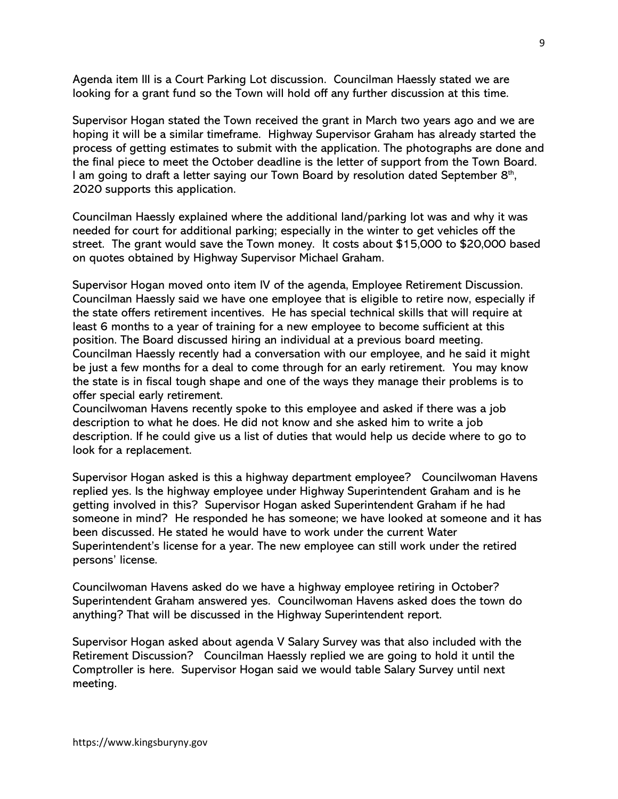Agenda item III is a Court Parking Lot discussion. Councilman Haessly stated we are looking for a grant fund so the Town will hold off any further discussion at this time.

Supervisor Hogan stated the Town received the grant in March two years ago and we are hoping it will be a similar timeframe. Highway Supervisor Graham has already started the process of getting estimates to submit with the application. The photographs are done and the final piece to meet the October deadline is the letter of support from the Town Board. I am going to draft a letter saying our Town Board by resolution dated September 8<sup>th</sup>, 2020 supports this application.

Councilman Haessly explained where the additional land/parking lot was and why it was needed for court for additional parking; especially in the winter to get vehicles off the street. The grant would save the Town money. It costs about \$15,000 to \$20,000 based on quotes obtained by Highway Supervisor Michael Graham.

Supervisor Hogan moved onto item IV of the agenda, Employee Retirement Discussion. Councilman Haessly said we have one employee that is eligible to retire now, especially if the state offers retirement incentives. He has special technical skills that will require at least 6 months to a year of training for a new employee to become sufficient at this position. The Board discussed hiring an individual at a previous board meeting. Councilman Haessly recently had a conversation with our employee, and he said it might be just a few months for a deal to come through for an early retirement. You may know the state is in fiscal tough shape and one of the ways they manage their problems is to offer special early retirement.

Councilwoman Havens recently spoke to this employee and asked if there was a job description to what he does. He did not know and she asked him to write a job description. If he could give us a list of duties that would help us decide where to go to look for a replacement.

Supervisor Hogan asked is this a highway department employee? Councilwoman Havens replied yes. Is the highway employee under Highway Superintendent Graham and is he getting involved in this? Supervisor Hogan asked Superintendent Graham if he had someone in mind? He responded he has someone; we have looked at someone and it has been discussed. He stated he would have to work under the current Water Superintendent's license for a year. The new employee can still work under the retired persons' license.

Councilwoman Havens asked do we have a highway employee retiring in October? Superintendent Graham answered yes. Councilwoman Havens asked does the town do anything? That will be discussed in the Highway Superintendent report.

Supervisor Hogan asked about agenda V Salary Survey was that also included with the Retirement Discussion? Councilman Haessly replied we are going to hold it until the Comptroller is here. Supervisor Hogan said we would table Salary Survey until next meeting.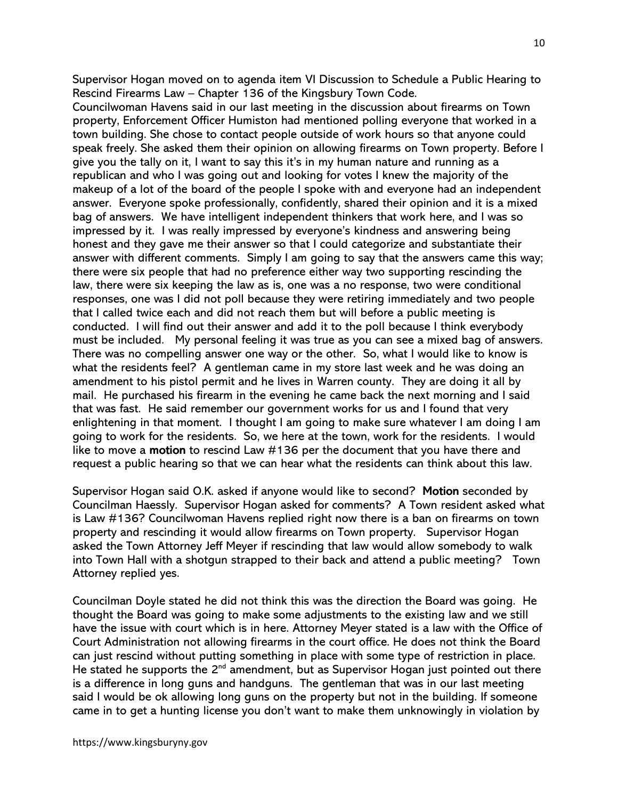Supervisor Hogan moved on to agenda item VI Discussion to Schedule a Public Hearing to Rescind Firearms Law – Chapter 136 of the Kingsbury Town Code.

Councilwoman Havens said in our last meeting in the discussion about firearms on Town property, Enforcement Officer Humiston had mentioned polling everyone that worked in a town building. She chose to contact people outside of work hours so that anyone could speak freely. She asked them their opinion on allowing firearms on Town property. Before I give you the tally on it, I want to say this it's in my human nature and running as a republican and who I was going out and looking for votes I knew the majority of the makeup of a lot of the board of the people I spoke with and everyone had an independent answer. Everyone spoke professionally, confidently, shared their opinion and it is a mixed bag of answers. We have intelligent independent thinkers that work here, and I was so impressed by it. I was really impressed by everyone's kindness and answering being honest and they gave me their answer so that I could categorize and substantiate their answer with different comments. Simply I am going to say that the answers came this way; there were six people that had no preference either way two supporting rescinding the law, there were six keeping the law as is, one was a no response, two were conditional responses, one was I did not poll because they were retiring immediately and two people that I called twice each and did not reach them but will before a public meeting is conducted. I will find out their answer and add it to the poll because I think everybody must be included. My personal feeling it was true as you can see a mixed bag of answers. There was no compelling answer one way or the other. So, what I would like to know is what the residents feel? A gentleman came in my store last week and he was doing an amendment to his pistol permit and he lives in Warren county. They are doing it all by mail. He purchased his firearm in the evening he came back the next morning and I said that was fast. He said remember our government works for us and I found that very enlightening in that moment. I thought I am going to make sure whatever I am doing I am going to work for the residents. So, we here at the town, work for the residents. I would like to move a motion to rescind Law #136 per the document that you have there and request a public hearing so that we can hear what the residents can think about this law.

Supervisor Hogan said O.K. asked if anyone would like to second? Motion seconded by Councilman Haessly. Supervisor Hogan asked for comments? A Town resident asked what is Law #136? Councilwoman Havens replied right now there is a ban on firearms on town property and rescinding it would allow firearms on Town property. Supervisor Hogan asked the Town Attorney Jeff Meyer if rescinding that law would allow somebody to walk into Town Hall with a shotgun strapped to their back and attend a public meeting? Town Attorney replied yes.

Councilman Doyle stated he did not think this was the direction the Board was going. He thought the Board was going to make some adjustments to the existing law and we still have the issue with court which is in here. Attorney Meyer stated is a law with the Office of Court Administration not allowing firearms in the court office. He does not think the Board can just rescind without putting something in place with some type of restriction in place. He stated he supports the  $2<sup>nd</sup>$  amendment, but as Supervisor Hogan just pointed out there is a difference in long guns and handguns. The gentleman that was in our last meeting said I would be ok allowing long guns on the property but not in the building. If someone came in to get a hunting license you don't want to make them unknowingly in violation by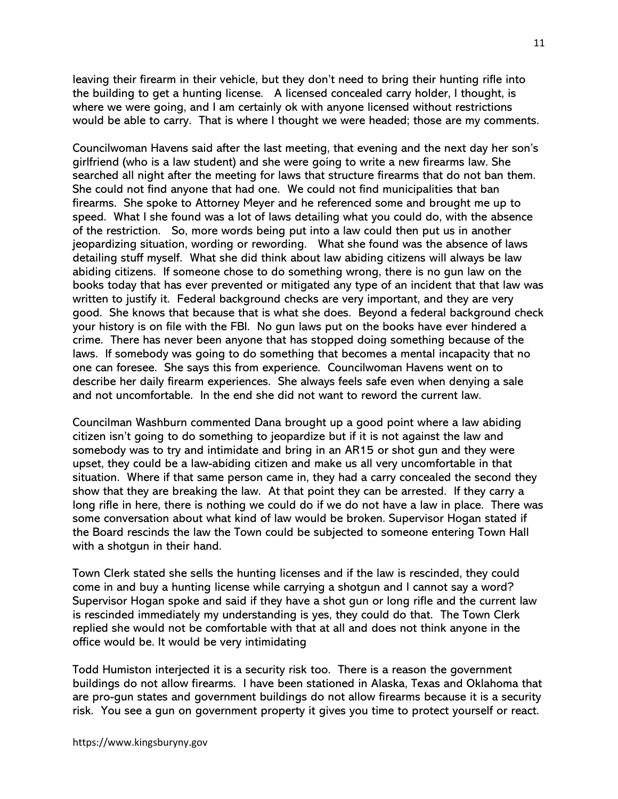leaving their firearm in their vehicle, but they don't need to bring their hunting rifle into the building to get a hunting license. A licensed concealed carry holder, I thought, is where we were going, and I am certainly ok with anyone licensed without restrictions would be able to carry. That is where I thought we were headed; those are my comments.

Councilwoman Havens said after the last meeting, that evening and the next day her son's girlfriend (who is a law student) and she were going to write a new firearms law. She searched all night after the meeting for laws that structure firearms that do not ban them. She could not find anyone that had one. We could not find municipalities that ban firearms. She spoke to Attorney Meyer and he referenced some and brought me up to speed. What I she found was a lot of laws detailing what you could do, with the absence of the restriction. So, more words being put into a law could then put us in another jeopardizing situation, wording or rewording. What she found was the absence of laws detailing stuff myself. What she did think about law abiding citizens will always be law abiding citizens. If someone chose to do something wrong, there is no gun law on the books today that has ever prevented or mitigated any type of an incident that that law was written to justify it. Federal background checks are very important, and they are very good. She knows that because that is what she does. Beyond a federal background check your history is on file with the FBI. No gun laws put on the books have ever hindered a crime. There has never been anyone that has stopped doing something because of the laws. If somebody was going to do something that becomes a mental incapacity that no one can foresee. She says this from experience. Councilwoman Havens went on to describe her daily firearm experiences. She always feels safe even when denying a sale and not uncomfortable. In the end she did not want to reword the current law.

Councilman Washburn commented Dana brought up a good point where a law abiding citizen isn't going to do something to jeopardize but if it is not against the law and somebody was to try and intimidate and bring in an AR15 or shot gun and they were upset, they could be a law-abiding citizen and make us all very uncomfortable in that situation. Where if that same person came in, they had a carry concealed the second they show that they are breaking the law. At that point they can be arrested. If they carry a long rifle in here, there is nothing we could do if we do not have a law in place. There was some conversation about what kind of law would be broken. Supervisor Hogan stated if the Board rescinds the law the Town could be subjected to someone entering Town Hall with a shotgun in their hand.

Town Clerk stated she sells the hunting licenses and if the law is rescinded, they could come in and buy a hunting license while carrying a shotgun and I cannot say a word? Supervisor Hogan spoke and said if they have a shot gun or long rifle and the current law is rescinded immediately my understanding is yes, they could do that. The Town Clerk replied she would not be comfortable with that at all and does not think anyone in the office would be. It would be very intimidating

Todd Humiston interjected it is a security risk too. There is a reason the government buildings do not allow firearms. I have been stationed in Alaska, Texas and Oklahoma that are pro-gun states and government buildings do not allow firearms because it is a security risk. You see a gun on government property it gives you time to protect yourself or react.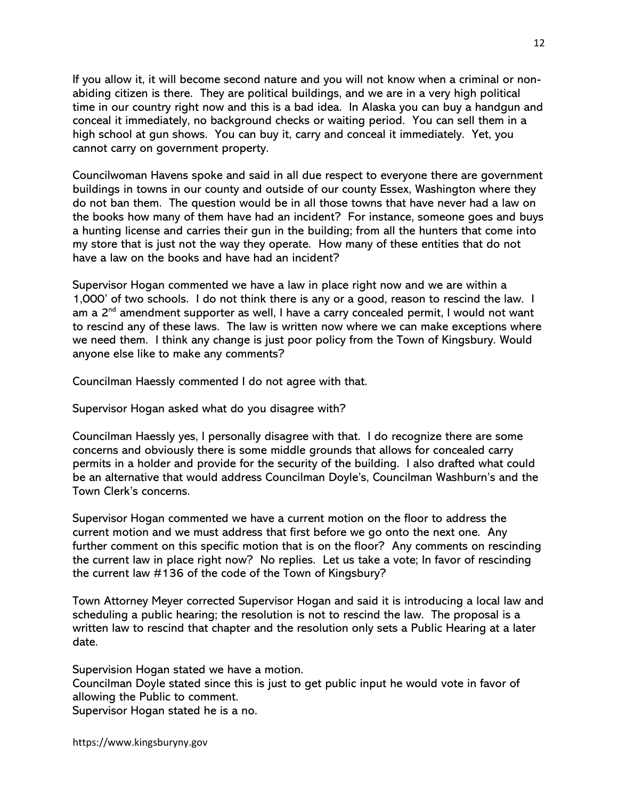If you allow it, it will become second nature and you will not know when a criminal or nonabiding citizen is there. They are political buildings, and we are in a very high political time in our country right now and this is a bad idea. In Alaska you can buy a handgun and conceal it immediately, no background checks or waiting period. You can sell them in a high school at gun shows. You can buy it, carry and conceal it immediately. Yet, you cannot carry on government property.

Councilwoman Havens spoke and said in all due respect to everyone there are government buildings in towns in our county and outside of our county Essex, Washington where they do not ban them. The question would be in all those towns that have never had a law on the books how many of them have had an incident? For instance, someone goes and buys a hunting license and carries their gun in the building; from all the hunters that come into my store that is just not the way they operate. How many of these entities that do not have a law on the books and have had an incident?

Supervisor Hogan commented we have a law in place right now and we are within a 1,000' of two schools. I do not think there is any or a good, reason to rescind the law. I am a  $2^{nd}$  amendment supporter as well, I have a carry concealed permit, I would not want to rescind any of these laws. The law is written now where we can make exceptions where we need them. I think any change is just poor policy from the Town of Kingsbury. Would anyone else like to make any comments?

Councilman Haessly commented I do not agree with that.

Supervisor Hogan asked what do you disagree with?

Councilman Haessly yes, I personally disagree with that. I do recognize there are some concerns and obviously there is some middle grounds that allows for concealed carry permits in a holder and provide for the security of the building. I also drafted what could be an alternative that would address Councilman Doyle's, Councilman Washburn's and the Town Clerk's concerns.

Supervisor Hogan commented we have a current motion on the floor to address the current motion and we must address that first before we go onto the next one. Any further comment on this specific motion that is on the floor? Any comments on rescinding the current law in place right now? No replies. Let us take a vote; In favor of rescinding the current law #136 of the code of the Town of Kingsbury?

Town Attorney Meyer corrected Supervisor Hogan and said it is introducing a local law and scheduling a public hearing; the resolution is not to rescind the law. The proposal is a written law to rescind that chapter and the resolution only sets a Public Hearing at a later date.

Supervision Hogan stated we have a motion. Councilman Doyle stated since this is just to get public input he would vote in favor of allowing the Public to comment. Supervisor Hogan stated he is a no.

https://www.kingsburyny.gov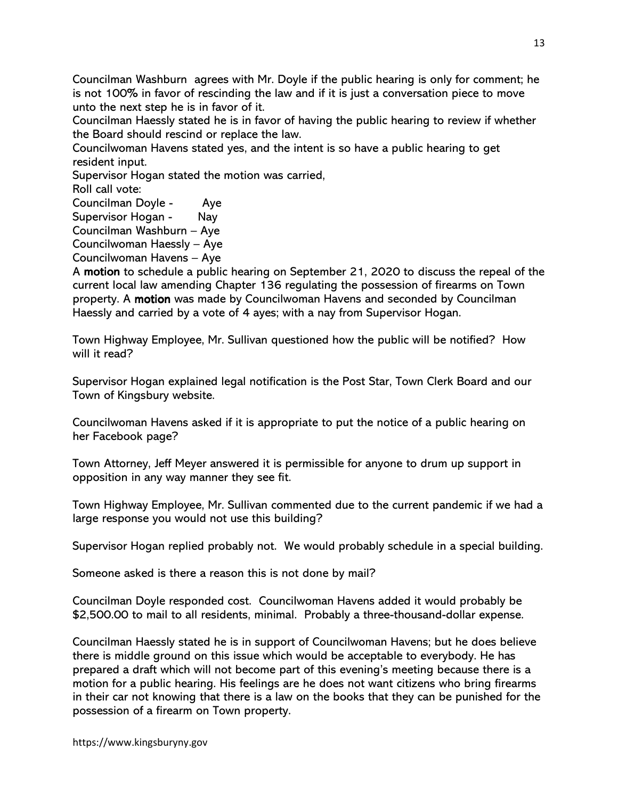Councilman Washburn agrees with Mr. Doyle if the public hearing is only for comment; he is not 100% in favor of rescinding the law and if it is just a conversation piece to move unto the next step he is in favor of it.

Councilman Haessly stated he is in favor of having the public hearing to review if whether the Board should rescind or replace the law.

Councilwoman Havens stated yes, and the intent is so have a public hearing to get resident input.

Supervisor Hogan stated the motion was carried,

Roll call vote:

Councilman Doyle - Aye

Supervisor Hogan - Nay

Councilman Washburn – Aye

Councilwoman Haessly – Aye

Councilwoman Havens – Aye

A motion to schedule a public hearing on September 21, 2020 to discuss the repeal of the current local law amending Chapter 136 regulating the possession of firearms on Town property. A motion was made by Councilwoman Havens and seconded by Councilman Haessly and carried by a vote of 4 ayes; with a nay from Supervisor Hogan.

Town Highway Employee, Mr. Sullivan questioned how the public will be notified? How will it read?

Supervisor Hogan explained legal notification is the Post Star, Town Clerk Board and our Town of Kingsbury website.

Councilwoman Havens asked if it is appropriate to put the notice of a public hearing on her Facebook page?

Town Attorney, Jeff Meyer answered it is permissible for anyone to drum up support in opposition in any way manner they see fit.

Town Highway Employee, Mr. Sullivan commented due to the current pandemic if we had a large response you would not use this building?

Supervisor Hogan replied probably not. We would probably schedule in a special building.

Someone asked is there a reason this is not done by mail?

Councilman Doyle responded cost. Councilwoman Havens added it would probably be \$2,500.00 to mail to all residents, minimal. Probably a three-thousand-dollar expense.

Councilman Haessly stated he is in support of Councilwoman Havens; but he does believe there is middle ground on this issue which would be acceptable to everybody. He has prepared a draft which will not become part of this evening's meeting because there is a motion for a public hearing. His feelings are he does not want citizens who bring firearms in their car not knowing that there is a law on the books that they can be punished for the possession of a firearm on Town property.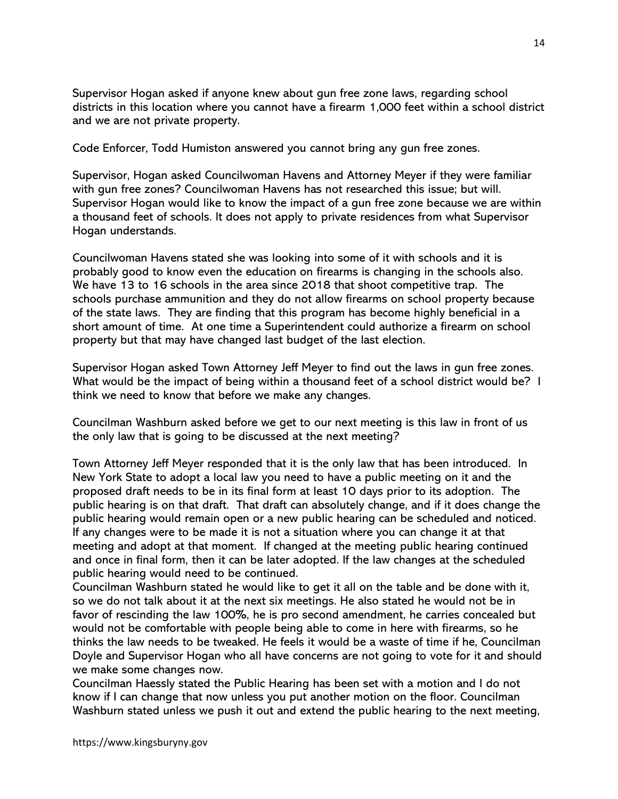Supervisor Hogan asked if anyone knew about gun free zone laws, regarding school districts in this location where you cannot have a firearm 1,000 feet within a school district and we are not private property.

Code Enforcer, Todd Humiston answered you cannot bring any gun free zones.

Supervisor, Hogan asked Councilwoman Havens and Attorney Meyer if they were familiar with gun free zones? Councilwoman Havens has not researched this issue; but will. Supervisor Hogan would like to know the impact of a gun free zone because we are within a thousand feet of schools. It does not apply to private residences from what Supervisor Hogan understands.

Councilwoman Havens stated she was looking into some of it with schools and it is probably good to know even the education on firearms is changing in the schools also. We have 13 to 16 schools in the area since 2018 that shoot competitive trap. The schools purchase ammunition and they do not allow firearms on school property because of the state laws. They are finding that this program has become highly beneficial in a short amount of time. At one time a Superintendent could authorize a firearm on school property but that may have changed last budget of the last election.

Supervisor Hogan asked Town Attorney Jeff Meyer to find out the laws in gun free zones. What would be the impact of being within a thousand feet of a school district would be? I think we need to know that before we make any changes.

Councilman Washburn asked before we get to our next meeting is this law in front of us the only law that is going to be discussed at the next meeting?

Town Attorney Jeff Meyer responded that it is the only law that has been introduced. In New York State to adopt a local law you need to have a public meeting on it and the proposed draft needs to be in its final form at least 10 days prior to its adoption. The public hearing is on that draft. That draft can absolutely change, and if it does change the public hearing would remain open or a new public hearing can be scheduled and noticed. If any changes were to be made it is not a situation where you can change it at that meeting and adopt at that moment. If changed at the meeting public hearing continued and once in final form, then it can be later adopted. If the law changes at the scheduled public hearing would need to be continued.

Councilman Washburn stated he would like to get it all on the table and be done with it, so we do not talk about it at the next six meetings. He also stated he would not be in favor of rescinding the law 100%, he is pro second amendment, he carries concealed but would not be comfortable with people being able to come in here with firearms, so he thinks the law needs to be tweaked. He feels it would be a waste of time if he, Councilman Doyle and Supervisor Hogan who all have concerns are not going to vote for it and should we make some changes now.

Councilman Haessly stated the Public Hearing has been set with a motion and I do not know if I can change that now unless you put another motion on the floor. Councilman Washburn stated unless we push it out and extend the public hearing to the next meeting,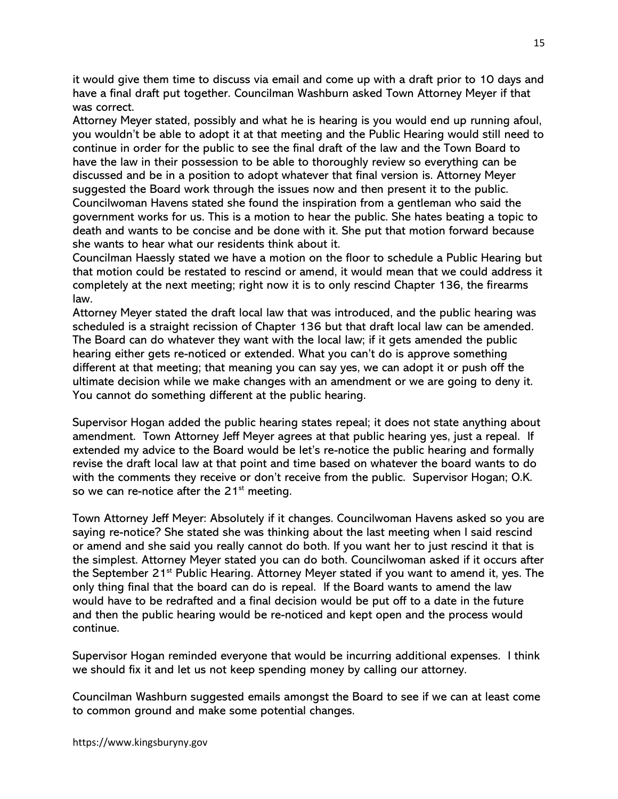it would give them time to discuss via email and come up with a draft prior to 10 days and have a final draft put together. Councilman Washburn asked Town Attorney Meyer if that was correct.

Attorney Meyer stated, possibly and what he is hearing is you would end up running afoul, you wouldn't be able to adopt it at that meeting and the Public Hearing would still need to continue in order for the public to see the final draft of the law and the Town Board to have the law in their possession to be able to thoroughly review so everything can be discussed and be in a position to adopt whatever that final version is. Attorney Meyer suggested the Board work through the issues now and then present it to the public. Councilwoman Havens stated she found the inspiration from a gentleman who said the government works for us. This is a motion to hear the public. She hates beating a topic to death and wants to be concise and be done with it. She put that motion forward because she wants to hear what our residents think about it.

Councilman Haessly stated we have a motion on the floor to schedule a Public Hearing but that motion could be restated to rescind or amend, it would mean that we could address it completely at the next meeting; right now it is to only rescind Chapter 136, the firearms law.

Attorney Meyer stated the draft local law that was introduced, and the public hearing was scheduled is a straight recission of Chapter 136 but that draft local law can be amended. The Board can do whatever they want with the local law; if it gets amended the public hearing either gets re-noticed or extended. What you can't do is approve something different at that meeting; that meaning you can say yes, we can adopt it or push off the ultimate decision while we make changes with an amendment or we are going to deny it. You cannot do something different at the public hearing.

Supervisor Hogan added the public hearing states repeal; it does not state anything about amendment. Town Attorney Jeff Meyer agrees at that public hearing yes, just a repeal. If extended my advice to the Board would be let's re-notice the public hearing and formally revise the draft local law at that point and time based on whatever the board wants to do with the comments they receive or don't receive from the public. Supervisor Hogan; O.K. so we can re-notice after the  $21<sup>st</sup>$  meeting.

Town Attorney Jeff Meyer: Absolutely if it changes. Councilwoman Havens asked so you are saying re-notice? She stated she was thinking about the last meeting when I said rescind or amend and she said you really cannot do both. If you want her to just rescind it that is the simplest. Attorney Meyer stated you can do both. Councilwoman asked if it occurs after the September 21<sup>st</sup> Public Hearing. Attorney Meyer stated if you want to amend it, yes. The only thing final that the board can do is repeal. If the Board wants to amend the law would have to be redrafted and a final decision would be put off to a date in the future and then the public hearing would be re-noticed and kept open and the process would continue.

Supervisor Hogan reminded everyone that would be incurring additional expenses. I think we should fix it and let us not keep spending money by calling our attorney.

Councilman Washburn suggested emails amongst the Board to see if we can at least come to common ground and make some potential changes.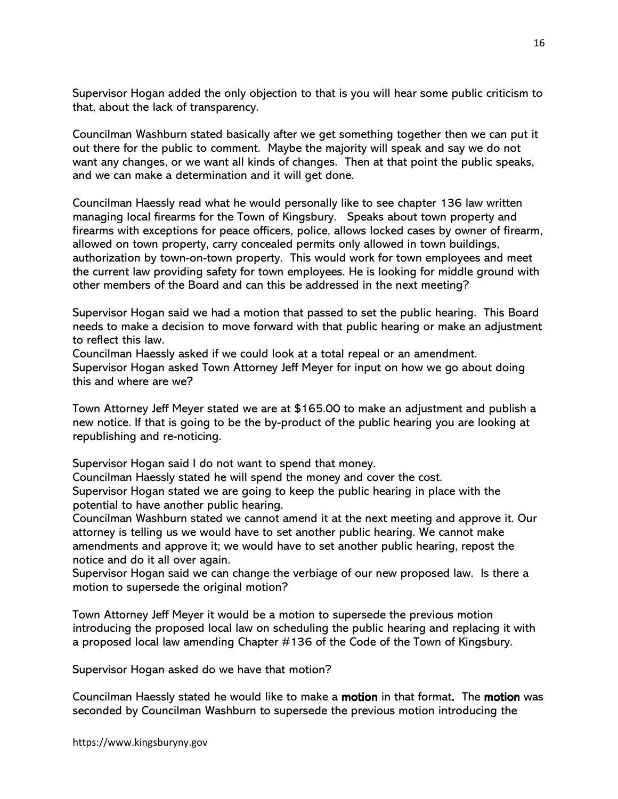Supervisor Hogan added the only objection to that is you will hear some public criticism to that, about the lack of transparency.

Councilman Washburn stated basically after we get something together then we can put it out there for the public to comment. Maybe the majority will speak and say we do not want any changes, or we want all kinds of changes. Then at that point the public speaks, and we can make a determination and it will get done.

Councilman Haessly read what he would personally like to see chapter 136 law written managing local firearms for the Town of Kingsbury. Speaks about town property and firearms with exceptions for peace officers, police, allows locked cases by owner of firearm, allowed on town property, carry concealed permits only allowed in town buildings, authorization by town-on-town property. This would work for town employees and meet the current law providing safety for town employees. He is looking for middle ground with other members of the Board and can this be addressed in the next meeting?

Supervisor Hogan said we had a motion that passed to set the public hearing. This Board needs to make a decision to move forward with that public hearing or make an adjustment to reflect this law.

Councilman Haessly asked if we could look at a total repeal or an amendment. Supervisor Hogan asked Town Attorney Jeff Meyer for input on how we go about doing this and where are we?

Town Attorney Jeff Meyer stated we are at \$165.00 to make an adjustment and publish a new notice. If that is going to be the by-product of the public hearing you are looking at republishing and re-noticing.

Supervisor Hogan said I do not want to spend that money.

Councilman Haessly stated he will spend the money and cover the cost.

Supervisor Hogan stated we are going to keep the public hearing in place with the potential to have another public hearing.

Councilman Washburn stated we cannot amend it at the next meeting and approve it. Our attorney is telling us we would have to set another public hearing. We cannot make amendments and approve it; we would have to set another public hearing, repost the notice and do it all over again.

Supervisor Hogan said we can change the verbiage of our new proposed law. Is there a motion to supersede the original motion?

Town Attorney Jeff Meyer it would be a motion to supersede the previous motion introducing the proposed local law on scheduling the public hearing and replacing it with a proposed local law amending Chapter #136 of the Code of the Town of Kingsbury.

Supervisor Hogan asked do we have that motion?

Councilman Haessly stated he would like to make a **motion** in that format. The **motion** was seconded by Councilman Washburn to supersede the previous motion introducing the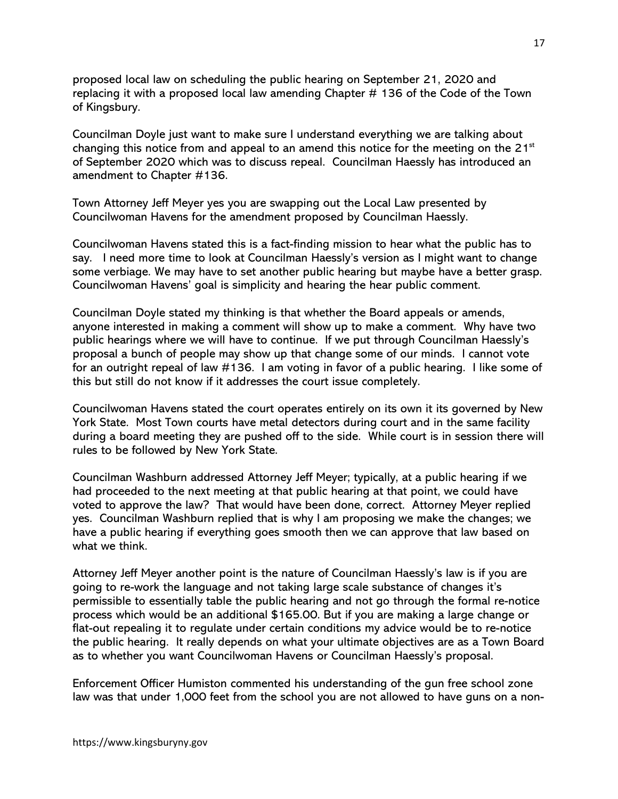proposed local law on scheduling the public hearing on September 21, 2020 and replacing it with a proposed local law amending Chapter # 136 of the Code of the Town of Kingsbury.

Councilman Doyle just want to make sure I understand everything we are talking about changing this notice from and appeal to an amend this notice for the meeting on the  $21^{st}$ of September 2020 which was to discuss repeal. Councilman Haessly has introduced an amendment to Chapter #136.

Town Attorney Jeff Meyer yes you are swapping out the Local Law presented by Councilwoman Havens for the amendment proposed by Councilman Haessly.

Councilwoman Havens stated this is a fact-finding mission to hear what the public has to say. I need more time to look at Councilman Haessly's version as I might want to change some verbiage. We may have to set another public hearing but maybe have a better grasp. Councilwoman Havens' goal is simplicity and hearing the hear public comment.

Councilman Doyle stated my thinking is that whether the Board appeals or amends, anyone interested in making a comment will show up to make a comment. Why have two public hearings where we will have to continue. If we put through Councilman Haessly's proposal a bunch of people may show up that change some of our minds. I cannot vote for an outright repeal of law #136. I am voting in favor of a public hearing. I like some of this but still do not know if it addresses the court issue completely.

Councilwoman Havens stated the court operates entirely on its own it its governed by New York State. Most Town courts have metal detectors during court and in the same facility during a board meeting they are pushed off to the side. While court is in session there will rules to be followed by New York State.

Councilman Washburn addressed Attorney Jeff Meyer; typically, at a public hearing if we had proceeded to the next meeting at that public hearing at that point, we could have voted to approve the law? That would have been done, correct. Attorney Meyer replied yes. Councilman Washburn replied that is why I am proposing we make the changes; we have a public hearing if everything goes smooth then we can approve that law based on what we think.

Attorney Jeff Meyer another point is the nature of Councilman Haessly's law is if you are going to re-work the language and not taking large scale substance of changes it's permissible to essentially table the public hearing and not go through the formal re-notice process which would be an additional \$165.00. But if you are making a large change or flat-out repealing it to regulate under certain conditions my advice would be to re-notice the public hearing. It really depends on what your ultimate objectives are as a Town Board as to whether you want Councilwoman Havens or Councilman Haessly's proposal.

Enforcement Officer Humiston commented his understanding of the gun free school zone law was that under 1,000 feet from the school you are not allowed to have guns on a non-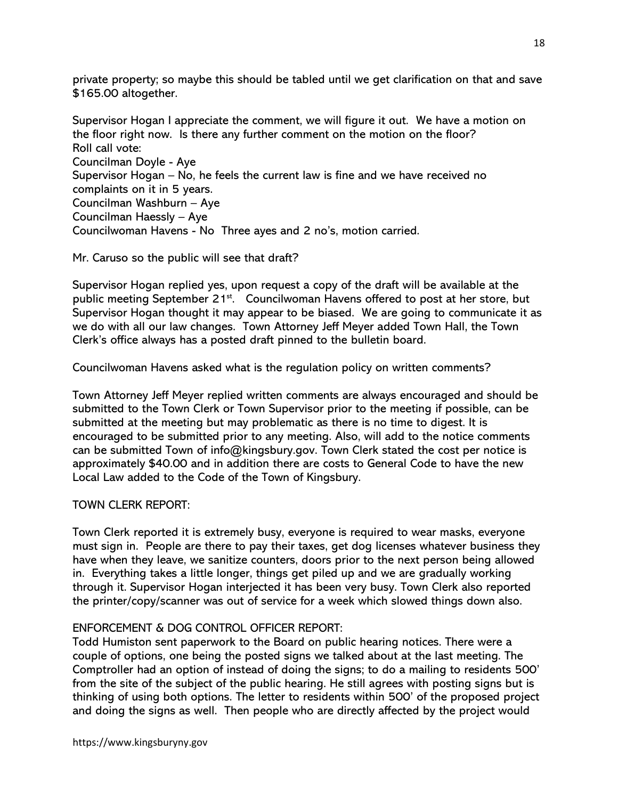private property; so maybe this should be tabled until we get clarification on that and save \$165.00 altogether.

Supervisor Hogan I appreciate the comment, we will figure it out. We have a motion on the floor right now. Is there any further comment on the motion on the floor? Roll call vote: Councilman Doyle - Aye Supervisor Hogan – No, he feels the current law is fine and we have received no complaints on it in 5 years. Councilman Washburn – Aye Councilman Haessly – Aye Councilwoman Havens - No Three ayes and 2 no's, motion carried.

Mr. Caruso so the public will see that draft?

Supervisor Hogan replied yes, upon request a copy of the draft will be available at the public meeting September 21<sup>st</sup>. Councilwoman Havens offered to post at her store, but Supervisor Hogan thought it may appear to be biased. We are going to communicate it as we do with all our law changes. Town Attorney Jeff Meyer added Town Hall, the Town Clerk's office always has a posted draft pinned to the bulletin board.

Councilwoman Havens asked what is the regulation policy on written comments?

Town Attorney Jeff Meyer replied written comments are always encouraged and should be submitted to the Town Clerk or Town Supervisor prior to the meeting if possible, can be submitted at the meeting but may problematic as there is no time to digest. It is encouraged to be submitted prior to any meeting. Also, will add to the notice comments can be submitted Town of info@kingsbury.gov. Town Clerk stated the cost per notice is approximately \$40.00 and in addition there are costs to General Code to have the new Local Law added to the Code of the Town of Kingsbury.

# TOWN CLERK REPORT:

Town Clerk reported it is extremely busy, everyone is required to wear masks, everyone must sign in. People are there to pay their taxes, get dog licenses whatever business they have when they leave, we sanitize counters, doors prior to the next person being allowed in. Everything takes a little longer, things get piled up and we are gradually working through it. Supervisor Hogan interjected it has been very busy. Town Clerk also reported the printer/copy/scanner was out of service for a week which slowed things down also.

# ENFORCEMENT & DOG CONTROL OFFICER REPORT:

Todd Humiston sent paperwork to the Board on public hearing notices. There were a couple of options, one being the posted signs we talked about at the last meeting. The Comptroller had an option of instead of doing the signs; to do a mailing to residents 500' from the site of the subject of the public hearing. He still agrees with posting signs but is thinking of using both options. The letter to residents within 500' of the proposed project and doing the signs as well. Then people who are directly affected by the project would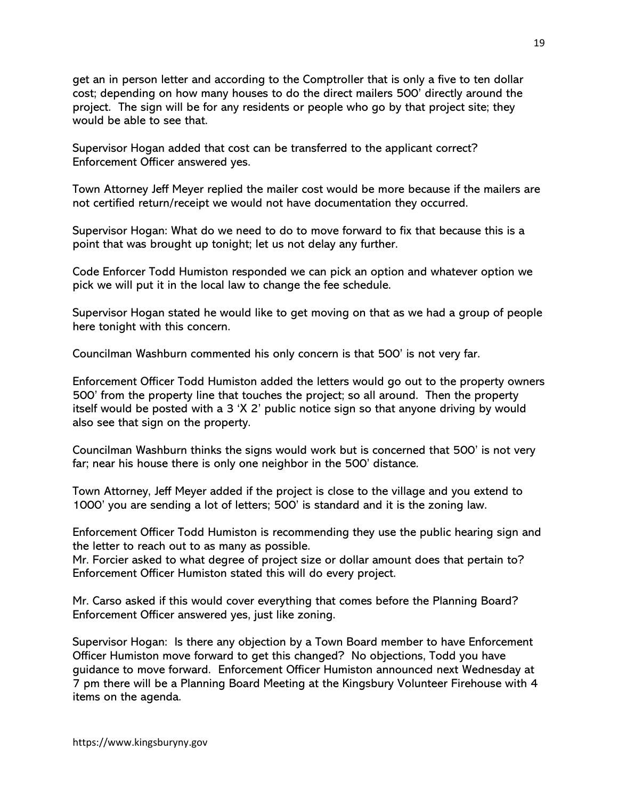get an in person letter and according to the Comptroller that is only a five to ten dollar cost; depending on how many houses to do the direct mailers 500' directly around the project. The sign will be for any residents or people who go by that project site; they would be able to see that.

Supervisor Hogan added that cost can be transferred to the applicant correct? Enforcement Officer answered yes.

Town Attorney Jeff Meyer replied the mailer cost would be more because if the mailers are not certified return/receipt we would not have documentation they occurred.

Supervisor Hogan: What do we need to do to move forward to fix that because this is a point that was brought up tonight; let us not delay any further.

Code Enforcer Todd Humiston responded we can pick an option and whatever option we pick we will put it in the local law to change the fee schedule.

Supervisor Hogan stated he would like to get moving on that as we had a group of people here tonight with this concern.

Councilman Washburn commented his only concern is that 500' is not very far.

Enforcement Officer Todd Humiston added the letters would go out to the property owners 500' from the property line that touches the project; so all around. Then the property itself would be posted with a 3 'X 2' public notice sign so that anyone driving by would also see that sign on the property.

Councilman Washburn thinks the signs would work but is concerned that 500' is not very far; near his house there is only one neighbor in the 500' distance.

Town Attorney, Jeff Meyer added if the project is close to the village and you extend to 1000' you are sending a lot of letters; 500' is standard and it is the zoning law.

Enforcement Officer Todd Humiston is recommending they use the public hearing sign and the letter to reach out to as many as possible.

Mr. Forcier asked to what degree of project size or dollar amount does that pertain to? Enforcement Officer Humiston stated this will do every project.

Mr. Carso asked if this would cover everything that comes before the Planning Board? Enforcement Officer answered yes, just like zoning.

Supervisor Hogan: Is there any objection by a Town Board member to have Enforcement Officer Humiston move forward to get this changed? No objections, Todd you have guidance to move forward. Enforcement Officer Humiston announced next Wednesday at 7 pm there will be a Planning Board Meeting at the Kingsbury Volunteer Firehouse with 4 items on the agenda.

https://www.kingsburyny.gov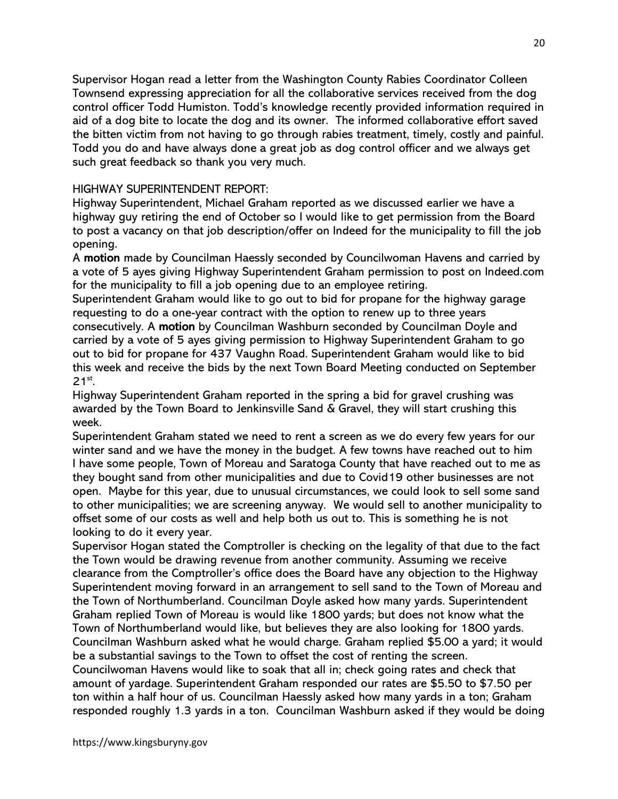Supervisor Hogan read a letter from the Washington County Rabies Coordinator Colleen Townsend expressing appreciation for all the collaborative services received from the dog control officer Todd Humiston. Todd's knowledge recently provided information required in aid of a dog bite to locate the dog and its owner. The informed collaborative effort saved the bitten victim from not having to go through rabies treatment, timely, costly and painful. Todd you do and have always done a great job as dog control officer and we always get such great feedback so thank you very much.

## HIGHWAY SUPERINTENDENT REPORT:

Highway Superintendent, Michael Graham reported as we discussed earlier we have a highway guy retiring the end of October so I would like to get permission from the Board to post a vacancy on that job description/offer on Indeed for the municipality to fill the job opening.

A motion made by Councilman Haessly seconded by Councilwoman Havens and carried by a vote of 5 ayes giving Highway Superintendent Graham permission to post on Indeed.com for the municipality to fill a job opening due to an employee retiring.

Superintendent Graham would like to go out to bid for propane for the highway garage requesting to do a one-year contract with the option to renew up to three years consecutively. A motion by Councilman Washburn seconded by Councilman Doyle and carried by a vote of 5 ayes giving permission to Highway Superintendent Graham to go out to bid for propane for 437 Vaughn Road. Superintendent Graham would like to bid this week and receive the bids by the next Town Board Meeting conducted on September  $21^{st}$ .

Highway Superintendent Graham reported in the spring a bid for gravel crushing was awarded by the Town Board to Jenkinsville Sand & Gravel, they will start crushing this week.

Superintendent Graham stated we need to rent a screen as we do every few years for our winter sand and we have the money in the budget. A few towns have reached out to him I have some people, Town of Moreau and Saratoga County that have reached out to me as they bought sand from other municipalities and due to Covid19 other businesses are not open. Maybe for this year, due to unusual circumstances, we could look to sell some sand to other municipalities; we are screening anyway. We would sell to another municipality to offset some of our costs as well and help both us out to. This is something he is not looking to do it every year.

Supervisor Hogan stated the Comptroller is checking on the legality of that due to the fact the Town would be drawing revenue from another community. Assuming we receive clearance from the Comptroller's office does the Board have any objection to the Highway Superintendent moving forward in an arrangement to sell sand to the Town of Moreau and the Town of Northumberland. Councilman Doyle asked how many yards. Superintendent Graham replied Town of Moreau is would like 1800 yards; but does not know what the Town of Northumberland would like, but believes they are also looking for 1800 yards. Councilman Washburn asked what he would charge. Graham replied \$5.00 a yard; it would be a substantial savings to the Town to offset the cost of renting the screen.

Councilwoman Havens would like to soak that all in; check going rates and check that amount of yardage. Superintendent Graham responded our rates are \$5.50 to \$7.50 per ton within a half hour of us. Councilman Haessly asked how many yards in a ton; Graham responded roughly 1.3 yards in a ton. Councilman Washburn asked if they would be doing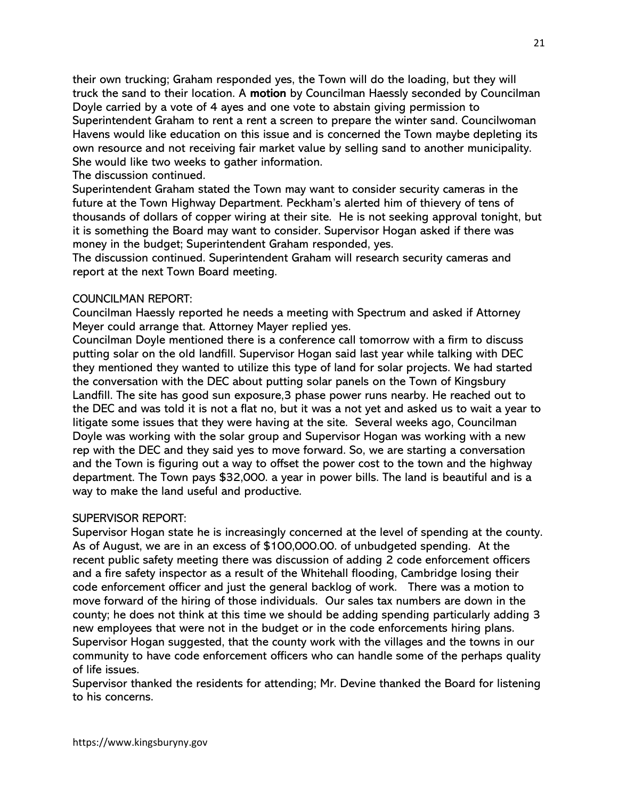their own trucking; Graham responded yes, the Town will do the loading, but they will truck the sand to their location. A motion by Councilman Haessly seconded by Councilman Doyle carried by a vote of 4 ayes and one vote to abstain giving permission to Superintendent Graham to rent a rent a screen to prepare the winter sand. Councilwoman Havens would like education on this issue and is concerned the Town maybe depleting its own resource and not receiving fair market value by selling sand to another municipality. She would like two weeks to gather information.

The discussion continued.

Superintendent Graham stated the Town may want to consider security cameras in the future at the Town Highway Department. Peckham's alerted him of thievery of tens of thousands of dollars of copper wiring at their site. He is not seeking approval tonight, but it is something the Board may want to consider. Supervisor Hogan asked if there was money in the budget; Superintendent Graham responded, yes.

The discussion continued. Superintendent Graham will research security cameras and report at the next Town Board meeting.

# COUNCILMAN REPORT:

Councilman Haessly reported he needs a meeting with Spectrum and asked if Attorney Meyer could arrange that. Attorney Mayer replied yes.

Councilman Doyle mentioned there is a conference call tomorrow with a firm to discuss putting solar on the old landfill. Supervisor Hogan said last year while talking with DEC they mentioned they wanted to utilize this type of land for solar projects. We had started the conversation with the DEC about putting solar panels on the Town of Kingsbury Landfill. The site has good sun exposure,3 phase power runs nearby. He reached out to the DEC and was told it is not a flat no, but it was a not yet and asked us to wait a year to litigate some issues that they were having at the site. Several weeks ago, Councilman Doyle was working with the solar group and Supervisor Hogan was working with a new rep with the DEC and they said yes to move forward. So, we are starting a conversation and the Town is figuring out a way to offset the power cost to the town and the highway department. The Town pays \$32,000. a year in power bills. The land is beautiful and is a way to make the land useful and productive.

# SUPERVISOR REPORT:

Supervisor Hogan state he is increasingly concerned at the level of spending at the county. As of August, we are in an excess of \$100,000.00. of unbudgeted spending. At the recent public safety meeting there was discussion of adding 2 code enforcement officers and a fire safety inspector as a result of the Whitehall flooding, Cambridge losing their code enforcement officer and just the general backlog of work. There was a motion to move forward of the hiring of those individuals. Our sales tax numbers are down in the county; he does not think at this time we should be adding spending particularly adding 3 new employees that were not in the budget or in the code enforcements hiring plans. Supervisor Hogan suggested, that the county work with the villages and the towns in our community to have code enforcement officers who can handle some of the perhaps quality of life issues.

Supervisor thanked the residents for attending; Mr. Devine thanked the Board for listening to his concerns.